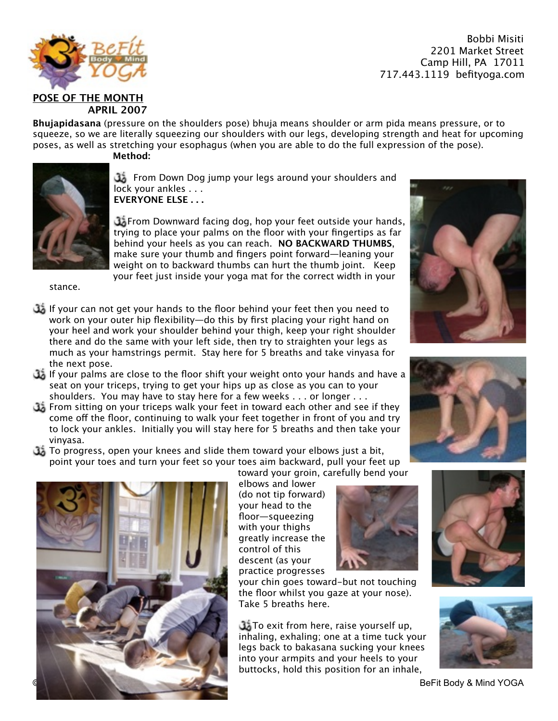

**Bhujapidasana** (pressure on the shoulders pose) bhuja means shoulder or arm pida means pressure, or to squeeze, so we are literally squeezing our shoulders with our legs, developing strength and heat for upcoming poses, as well as stretching your esophagus (when you are able to do the full expression of the pose). **Method:**



**3** From Down Dog jump your legs around your shoulders and lock your ankles . . . **EVERYONE ELSE . . .**

From Downward facing dog, hop your feet outside your hands, trying to place your palms on the floor with your fingertips as far behind your heels as you can reach. **NO BACKWARD THUMBS**, make sure your thumb and fingers point forward—leaning your weight on to backward thumbs can hurt the thumb joint. Keep your feet just inside your yoga mat for the correct width in your

stance.

- If your can not get your hands to the floor behind your feet then you need to work on your outer hip flexibility—do this by first placing your right hand on your heel and work your shoulder behind your thigh, keep your right shoulder there and do the same with your left side, then try to straighten your legs as much as your hamstrings permit. Stay here for 5 breaths and take vinyasa for the next pose.
- If your palms are close to the floor shift your weight onto your hands and have a seat on your triceps, trying to get your hips up as close as you can to your shoulders. You may have to stay here for a few weeks . . . or longer . . .
- From sitting on your triceps walk your feet in toward each other and see if they come off the floor, continuing to walk your feet together in front of you and try to lock your ankles. Initially you will stay here for 5 breaths and then take your vinyasa.
- To progress, open your knees and slide them toward your elbows just a bit, point your toes and turn your feet so your toes aim backward, pull your feet up



(do not tip forward) your head to the floor—squeezing with your thighs greatly increase the control of this descent (as your practice progresses

your chin goes toward-but not touching the floor whilst you gaze at your nose). Take 5 breaths here.

To exit from here, raise yourself up, inhaling, exhaling; one at a time tuck your legs back to bakasana sucking your knees into your armpits and your heels to your buttocks, hold this position for an inhale,







BeFit Body & Mind YOGA





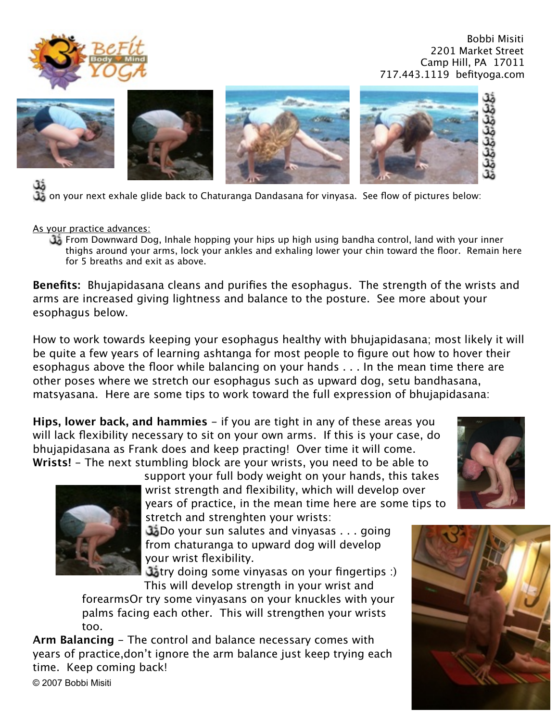









مَلَّ<br>on your next exhale glide back to Chaturanga Dandasana for vinyasa. See flow of pictures below:<br>وَلَى الْمَسْرَعِينَ الْمَسْرَعِينَ الْمَسْرَعِينَ الْمَسْرَعِينَ الْمَسْرَعِينَ الْمَسْرَعِينَ الْمَسْرَعِينَ

As your practice advances:

From Downward Dog, Inhale hopping your hips up high using bandha control, land with your inner thighs around your arms, lock your ankles and exhaling lower your chin toward the floor. Remain here for 5 breaths and exit as above.

**Benefits:** Bhujapidasana cleans and purifies the esophagus. The strength of the wrists and arms are increased giving lightness and balance to the posture. See more about your esophagus below.

How to work towards keeping your esophagus healthy with bhujapidasana; most likely it will be quite a few years of learning ashtanga for most people to figure out how to hover their esophagus above the floor while balancing on your hands . . . In the mean time there are other poses where we stretch our esophagus such as upward dog, setu bandhasana, matsyasana. Here are some tips to work toward the full expression of bhujapidasana:

**Hips, lower back, and hammies** – if you are tight in any of these areas you will lack flexibility necessary to sit on your own arms. If this is your case, do bhujapidasana as Frank does and keep practing! Over time it will come. **Wrists!** - The next stumbling block are your wrists, you need to be able to



support your full body weight on your hands, this takes wrist strength and flexibility, which will develop over years of practice, in the mean time here are some tips to stretch and strenghten your wrists:

Do your sun salutes and vinyasas . . . going from chaturanga to upward dog will develop your wrist flexibility.

**Catry doing some vinyasas on your fingertips** :) This will develop strength in your wrist and

forearmsOr try some vinyasans on your knuckles with your palms facing each other. This will strengthen your wrists too.

**Arm Balancing** - The control and balance necessary comes with years of practice,don't ignore the arm balance just keep trying each time. Keep coming back!



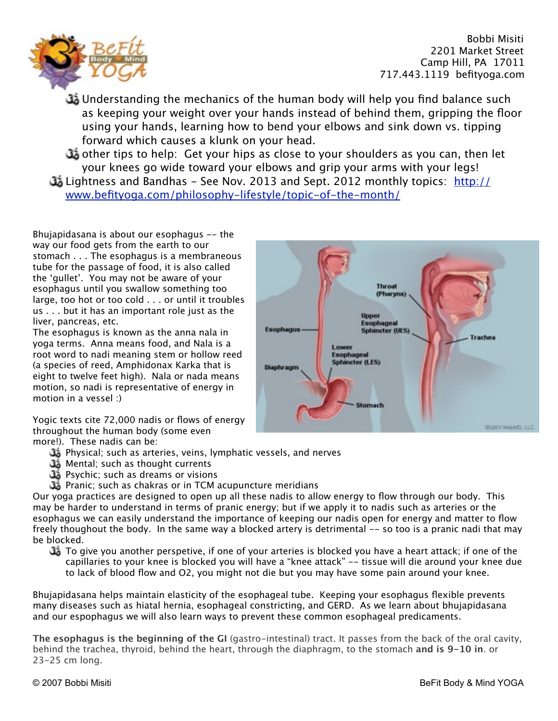

Understanding the mechanics of the human body will help you find balance such as keeping your weight over your hands instead of behind them, gripping the floor using your hands, learning how to bend your elbows and sink down vs. tipping forward which causes a klunk on your head.

other tips to help: Get your hips as close to your shoulders as you can, then let your knees go wide toward your elbows and grip your arms with your legs! [Lightness and Bandhas - See Nov. 2013 and Sept. 2012 monthly topics: http://](http://www.befityoga.com/philosophy-lifestyle/topic-of-the-month/)

www.befityoga.com/philosophy-lifestyle/topic-of-the-month/

Bhujapidasana is about our esophagus -- the way our food gets from the earth to our stomach . . . The esophagus is a membraneous tube for the passage of food, it is also called the 'gullet'. You may not be aware of your esophagus until you swallow something too large, too hot or too cold . . . or until it troubles us . . . but it has an important role just as the liver, pancreas, etc.

The esophagus is known as the anna nala in yoga terms. Anna means food, and Nala is a root word to nadi meaning stem or hollow reed (a species of reed, Amphidonax Karka that is eight to twelve feet high). Nala or nada means motion, so nadi is representative of energy in motion in a vessel :)

Yogic texts cite 72,000 nadis or flows of energy throughout the human body (some even more!). These nadis can be:

- Physical; such as arteries, veins, lymphatic vessels, and nerves
- Mental; such as thought currents
- Psychic; such as dreams or visions
- **35** Pranic; such as chakras or in TCM acupuncture meridians

Our yoga practices are designed to open up all these nadis to allow energy to flow through our body. This may be harder to understand in terms of pranic energy; but if we apply it to nadis such as arteries or the esophagus we can easily understand the importance of keeping our nadis open for energy and matter to flow freely thoughout the body. In the same way a blocked artery is detrimental -- so too is a pranic nadi that may be blocked.

To give you another perspetive, if one of your arteries is blocked you have a heart attack; if one of the capillaries to your knee is blocked you will have a "knee attack" -- tissue will die around your knee due to lack of blood flow and O2, you might not die but you may have some pain around your knee.

Bhujapidasana helps maintain elasticity of the esophageal tube. Keeping your esophagus flexible prevents many diseases such as hiatal hernia, esophageal constricting, and GERD. As we learn about bhujapidasana and our espophagus we will also learn ways to prevent these common esophageal predicaments.

**The esophagus is the beginning of the GI** (gastro-intestinal) tract. It passes from the back of the oral cavity, behind the trachea, thyroid, behind the heart, through the diaphragm, to the stomach **and is 9-10 in**. or 23-25 cm long.

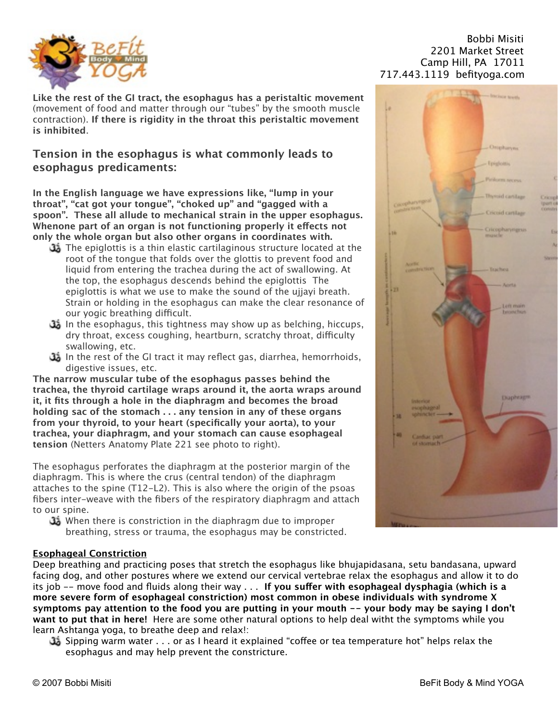

**Like the rest of the GI tract, the esophagus has a peristaltic movement** (movement of food and matter through our "tubes" by the smooth muscle contraction). **If there is rigidity in the throat this peristaltic movement is inhibited**.

## **Tension in the esophagus is what commonly leads to esophagus predicaments:**

**In the English language we have expressions like, "lump in your throat", "cat got your tongue", "choked up" and "gagged with a spoon". These all allude to mechanical strain in the upper esophagus. Whenone part of an organ is not functioning properly it efects not only the whole organ but also other organs in coordinates with.** 

- The epiglottis is a thin elastic cartilaginous structure located at the root of the tongue that folds over the glottis to prevent food and liquid from entering the trachea during the act of swallowing. At the top, the esophagus descends behind the epiglottis The epiglottis is what we use to make the sound of the ujjayi breath. Strain or holding in the esophagus can make the clear resonance of our yogic breathing difficult.
- In the esophagus, this tightness may show up as belching, hiccups, dry throat, excess coughing, heartburn, scratchy throat, difficulty swallowing, etc.
- In the rest of the GI tract it may reflect gas, diarrhea, hemorrhoids, digestive issues, etc.

**The narrow muscular tube of the esophagus passes behind the trachea, the thyroid cartilage wraps around it, the aorta wraps around it, it fits through a hole in the diaphragm and becomes the broad holding sac of the stomach . . . any tension in any of these organs from your thyroid, to your heart (specifically your aorta), to your trachea, your diaphragm, and your stomach can cause esophageal tension** (Netters Anatomy Plate 221 see photo to right).

The esophagus perforates the diaphragm at the posterior margin of the diaphragm. This is where the crus (central tendon) of the diaphragm attaches to the spine (T12-L2). This is also where the origin of the psoas fibers inter-weave with the fibers of the respiratory diaphragm and attach to our spine.

When there is constriction in the diaphragm due to improper breathing, stress or trauma, the esophagus may be constricted.

## **Esophageal Constriction**

Deep breathing and practicing poses that stretch the esophagus like bhujapidasana, setu bandasana, upward facing dog, and other postures where we extend our cervical vertebrae relax the esophagus and allow it to do its job -- move food and fluids along their way . . . **If you sufer with esophageal dysphagia (which is a more severe form of esophageal constriction) most common in obese individuals with syndrome X symptoms pay attention to the food you are putting in your mouth -- your body may be saying I don't want to put that in here!** Here are some other natural options to help deal witht the symptoms while you learn Ashtanga yoga, to breathe deep and relax!:

Sipping warm water . . . or as I heard it explained "cofee or tea temperature hot" helps relax the esophagus and may help prevent the constricture.

## $Bobbi$  Misiti 

2201 Market Street Camp Hill, PA 17011 717.443.1119 befityoga.com